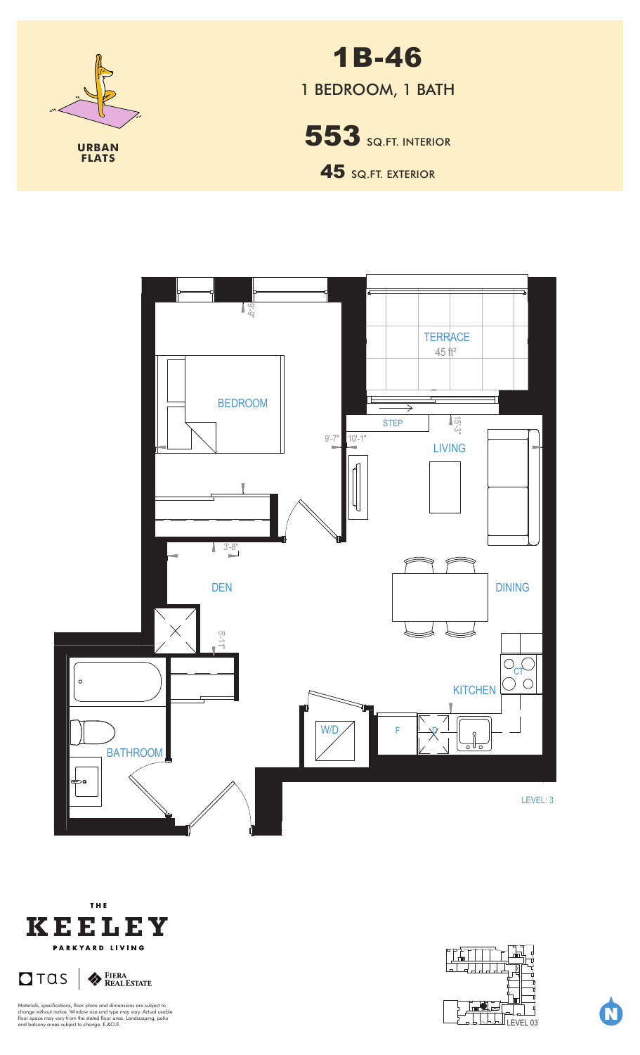

**URBAN FLATS**

1B-46 1 BEDROOM, 1 BATH

**553** SQ.FT. INTERIOR

45 SQ.FT. EXTERIOR







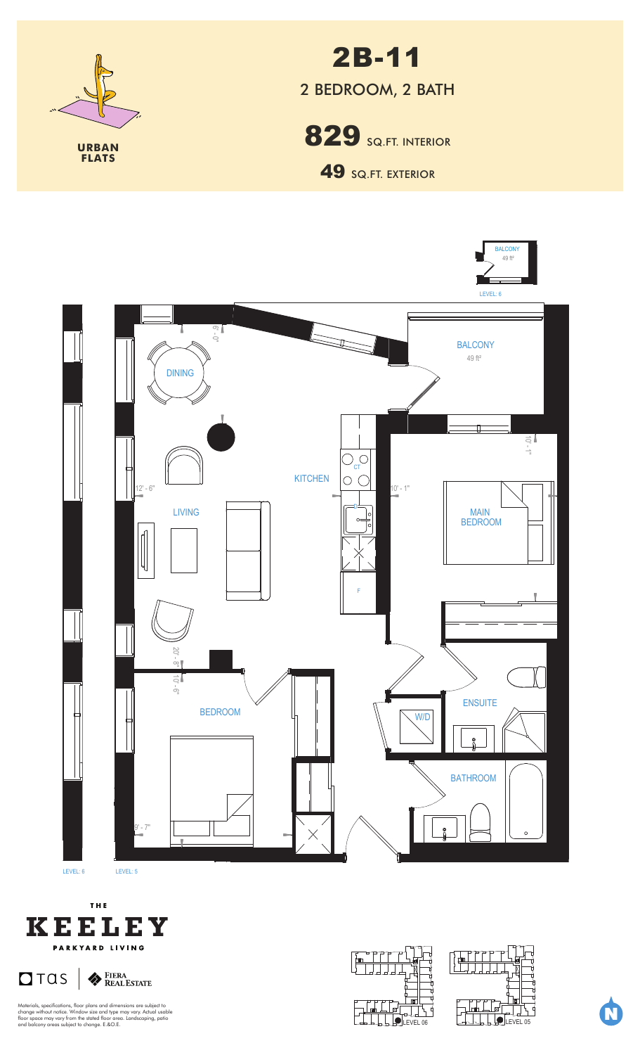

2B-11 2 BEDROOM, 2 BATH

829 SQ.FT. INTERIOR

49 SQ.FT. EXTERIOR



**THE KEELEY PARKYARD LIVING** 







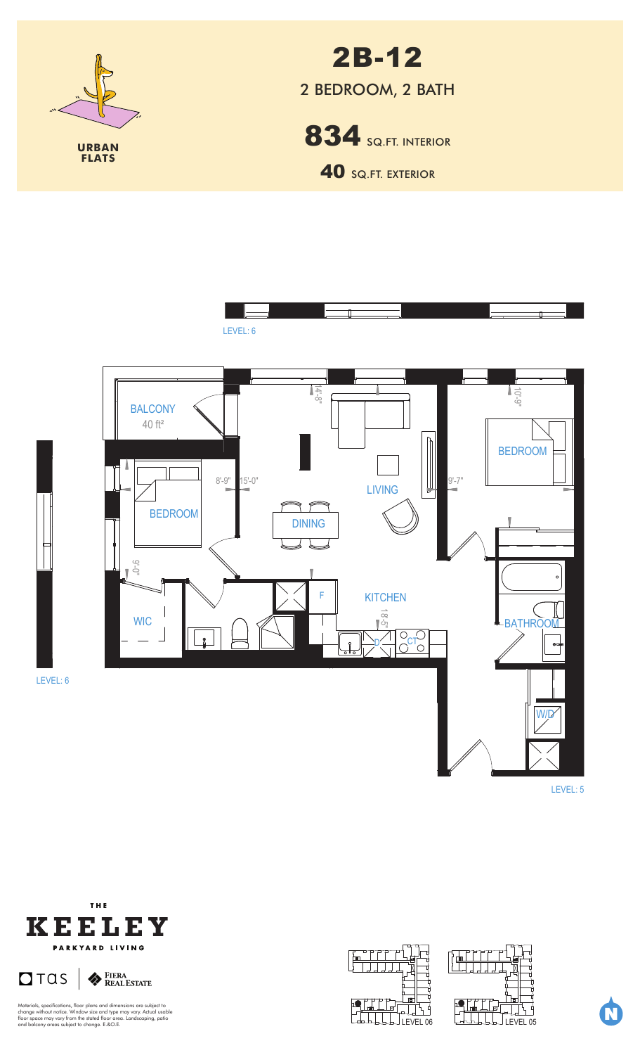

2B-12 2 BEDROOM, 2 BATH

834 SQ.FT. INTERIOR

**40 SQ.FT. EXTERIOR** 







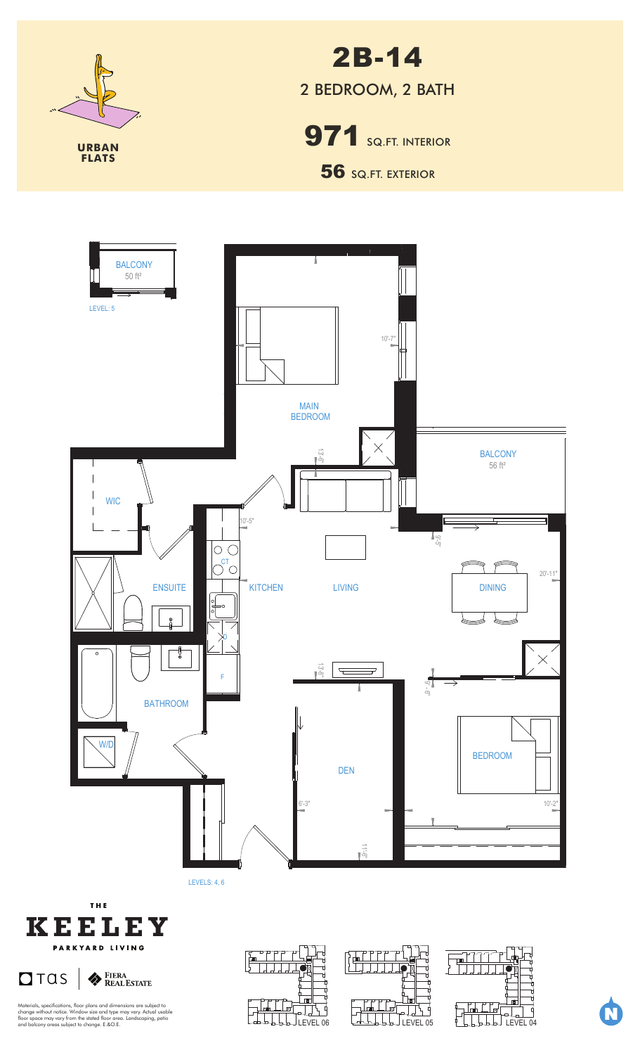

2B-14 2 BEDROOM, 2 BATH

**971** SQ.FT. INTERIOR **56** SQ.FT. EXTERIOR





 $\log$  TQS  $\big|\bigotimes_{\text{REALESTATE}}$ 

Materials, specifications, floor plans and dimensions are subject to<br>change without notice. Window size and type may vary. Actual usable<br>floor space may vary from the stated floor area. Landscaping, patio<br>and balcony areas





Level Legal Unit No. LEVEL 04 LEVEL 04

973 ft2

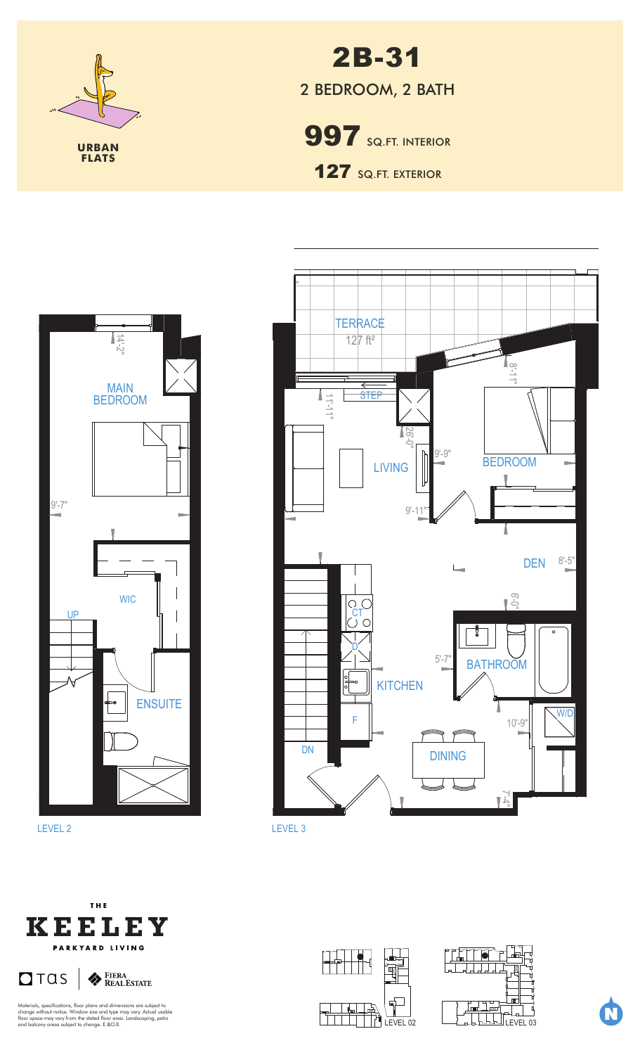

Schedule B 2B-31 2 BEDROOM, 2 BATH

> 997 SQ.FT. INTERIOR 127 SQ.FT. EXTERIOR